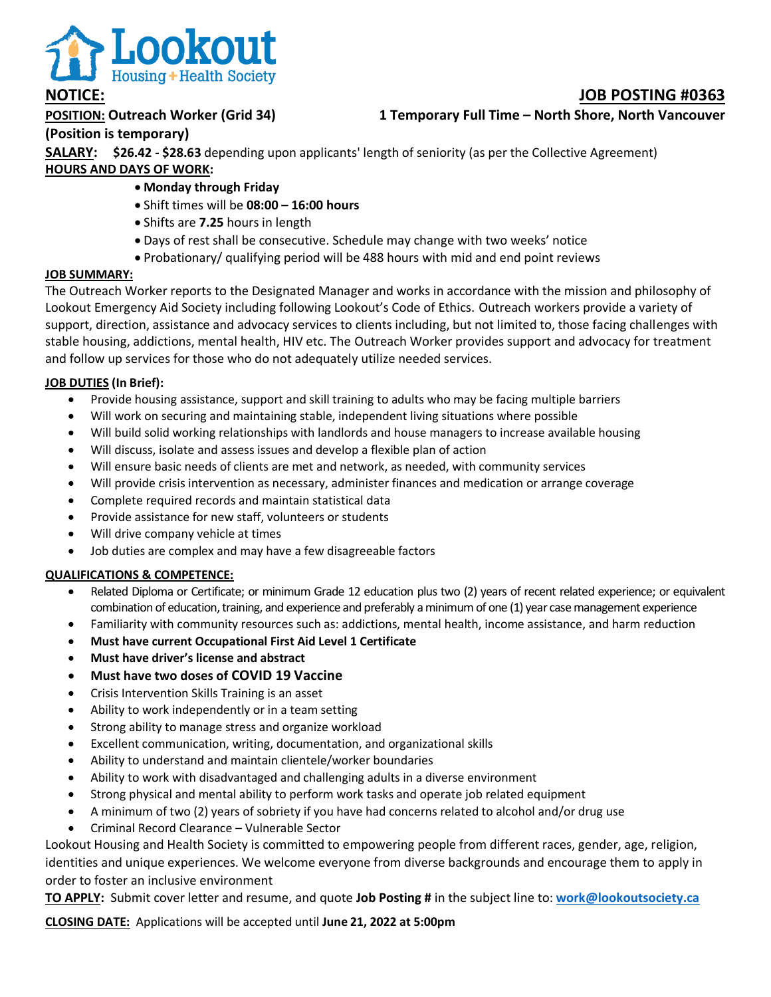

# **POSITION: Outreach Worker (Grid 34) 1 Temporary Full Time – North Shore, North Vancouver**

## **(Position is temporary)**

**SALARY: \$26.42 - \$28.63** depending upon applicants' length of seniority (as per the Collective Agreement) **HOURS AND DAYS OF WORK:** 

- **Monday through Friday**
- Shift times will be **08:00 – 16:00 hours**
- Shifts are **7.25** hours in length
- Days of rest shall be consecutive. Schedule may change with two weeks' notice
- Probationary/ qualifying period will be 488 hours with mid and end point reviews

### **JOB SUMMARY:**

The Outreach Worker reports to the Designated Manager and works in accordance with the mission and philosophy of Lookout Emergency Aid Society including following Lookout's Code of Ethics. Outreach workers provide a variety of support, direction, assistance and advocacy services to clients including, but not limited to, those facing challenges with stable housing, addictions, mental health, HIV etc. The Outreach Worker provides support and advocacy for treatment and follow up services for those who do not adequately utilize needed services.

## **JOB DUTIES (In Brief):**

- Provide housing assistance, support and skill training to adults who may be facing multiple barriers
- Will work on securing and maintaining stable, independent living situations where possible
- Will build solid working relationships with landlords and house managers to increase available housing
- Will discuss, isolate and assess issues and develop a flexible plan of action
- Will ensure basic needs of clients are met and network, as needed, with community services
- Will provide crisis intervention as necessary, administer finances and medication or arrange coverage
- Complete required records and maintain statistical data
- Provide assistance for new staff, volunteers or students
- Will drive company vehicle at times
- Job duties are complex and may have a few disagreeable factors

### **QUALIFICATIONS & COMPETENCE:**

- Related Diploma or Certificate; or minimum Grade 12 education plus two (2) years of recent related experience; or equivalent combination of education, training, and experience and preferably a minimum of one (1) year case management experience
- Familiarity with community resources such as: addictions, mental health, income assistance, and harm reduction
- **Must have current Occupational First Aid Level 1 Certificate**
- **Must have driver's license and abstract**
- **Must have two doses of COVID 19 Vaccine**
- Crisis Intervention Skills Training is an asset
- Ability to work independently or in a team setting
- Strong ability to manage stress and organize workload
- Excellent communication, writing, documentation, and organizational skills
- Ability to understand and maintain clientele/worker boundaries
- Ability to work with disadvantaged and challenging adults in a diverse environment
- Strong physical and mental ability to perform work tasks and operate job related equipment
- A minimum of two (2) years of sobriety if you have had concerns related to alcohol and/or drug use
- Criminal Record Clearance Vulnerable Sector

Lookout Housing and Health Society is committed to empowering people from different races, gender, age, religion, identities and unique experiences. We welcome everyone from diverse backgrounds and encourage them to apply in order to foster an inclusive environment

**TO APPLY:** Submit cover letter and resume, and quote **Job Posting #** in the subject line to: **[work@lookoutsociety.ca](mailto:work@lookoutsociety.ca)**

**CLOSING DATE:** Applications will be accepted until **June 21, 2022 at 5:00pm**